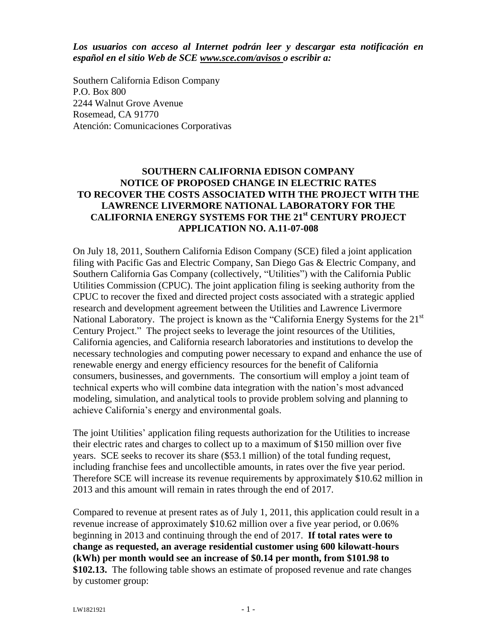*Los usuarios con acceso al Internet podrán leer y descargar esta notificación en español en el sitio Web de SCE www.sce.com/avisos o escribir a:* 

Southern California Edison Company P.O. Box 800 2244 Walnut Grove Avenue Rosemead, CA 91770 Atención: Comunicaciones Corporativas

## **SOUTHERN CALIFORNIA EDISON COMPANY NOTICE OF PROPOSED CHANGE IN ELECTRIC RATES TO RECOVER THE COSTS ASSOCIATED WITH THE PROJECT WITH THE LAWRENCE LIVERMORE NATIONAL LABORATORY FOR THE CALIFORNIA ENERGY SYSTEMS FOR THE 21st CENTURY PROJECT APPLICATION NO. A.11-07-008**

On July 18, 2011, Southern California Edison Company (SCE) filed a joint application filing with Pacific Gas and Electric Company, San Diego Gas & Electric Company, and Southern California Gas Company (collectively, "Utilities") with the California Public Utilities Commission (CPUC). The joint application filing is seeking authority from the CPUC to recover the fixed and directed project costs associated with a strategic applied research and development agreement between the Utilities and Lawrence Livermore National Laboratory. The project is known as the "California Energy Systems for the 21<sup>st</sup> Century Project." The project seeks to leverage the joint resources of the Utilities, California agencies, and California research laboratories and institutions to develop the necessary technologies and computing power necessary to expand and enhance the use of renewable energy and energy efficiency resources for the benefit of California consumers, businesses, and governments. The consortium will employ a joint team of technical experts who will combine data integration with the nation's most advanced modeling, simulation, and analytical tools to provide problem solving and planning to achieve California's energy and environmental goals.

The joint Utilities' application filing requests authorization for the Utilities to increase their electric rates and charges to collect up to a maximum of \$150 million over five years. SCE seeks to recover its share (\$53.1 million) of the total funding request, including franchise fees and uncollectible amounts, in rates over the five year period. Therefore SCE will increase its revenue requirements by approximately \$10.62 million in 2013 and this amount will remain in rates through the end of 2017.

Compared to revenue at present rates as of July 1, 2011, this application could result in a revenue increase of approximately \$10.62 million over a five year period, or 0.06% beginning in 2013 and continuing through the end of 2017. **If total rates were to change as requested, an average residential customer using 600 kilowatt-hours (kWh) per month would see an increase of \$0.14 per month, from \$101.98 to \$102.13.** The following table shows an estimate of proposed revenue and rate changes by customer group: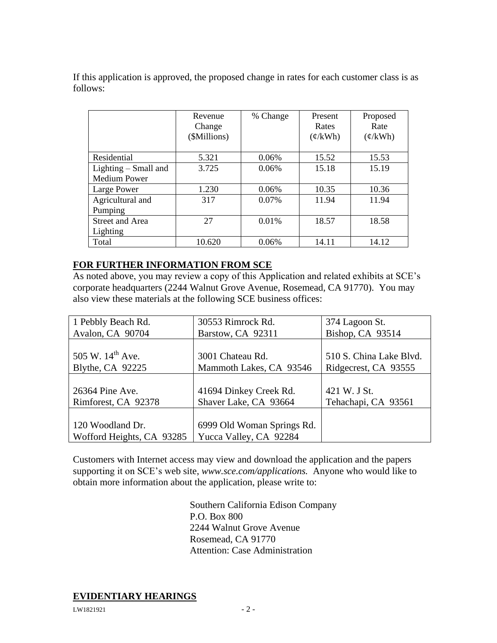If this application is approved, the proposed change in rates for each customer class is as follows:

|                        | Revenue<br>Change<br>(\$Millions) | % Change | Present<br>Rates<br>$(\phi/kWh)$ | Proposed<br>Rate<br>$(\phi/kWh)$ |
|------------------------|-----------------------------------|----------|----------------------------------|----------------------------------|
| Residential            | 5.321                             | 0.06%    | 15.52                            | 15.53                            |
| Lighting $-$ Small and | 3.725                             | 0.06%    | 15.18                            | 15.19                            |
| <b>Medium Power</b>    |                                   |          |                                  |                                  |
| Large Power            | 1.230                             | 0.06%    | 10.35                            | 10.36                            |
| Agricultural and       | 317                               | 0.07%    | 11.94                            | 11.94                            |
| Pumping                |                                   |          |                                  |                                  |
| <b>Street and Area</b> | 27                                | 0.01%    | 18.57                            | 18.58                            |
| Lighting               |                                   |          |                                  |                                  |
| Total                  | 10.620                            | 0.06%    | 14.11                            | 14.12                            |

## **FOR FURTHER INFORMATION FROM SCE**

As noted above, you may review a copy of this Application and related exhibits at SCE's corporate headquarters (2244 Walnut Grove Avenue, Rosemead, CA 91770). You may also view these materials at the following SCE business offices:

| 1 Pebbly Beach Rd.        | 30553 Rimrock Rd.          | 374 Lagoon St.          |
|---------------------------|----------------------------|-------------------------|
| Avalon, CA 90704          | Barstow, CA 92311          | Bishop, CA 93514        |
|                           |                            |                         |
| 505 W. $14^{th}$ Ave.     | 3001 Chateau Rd.           | 510 S. China Lake Blvd. |
| Blythe, CA 92225          | Mammoth Lakes, CA 93546    | Ridgecrest, CA 93555    |
|                           |                            |                         |
| 26364 Pine Ave.           | 41694 Dinkey Creek Rd.     | 421 W. J St.            |
| Rimforest, CA 92378       | Shaver Lake, CA 93664      | Tehachapi, CA 93561     |
|                           |                            |                         |
| 120 Woodland Dr.          | 6999 Old Woman Springs Rd. |                         |
| Wofford Heights, CA 93285 | Yucca Valley, CA 92284     |                         |

Customers with Internet access may view and download the application and the papers supporting it on SCE's web site, *www.sce.com/applications.* Anyone who would like to obtain more information about the application, please write to:

> Southern California Edison Company P.O. Box 800 2244 Walnut Grove Avenue Rosemead, CA 91770 Attention: Case Administration

## **EVIDENTIARY HEARINGS**